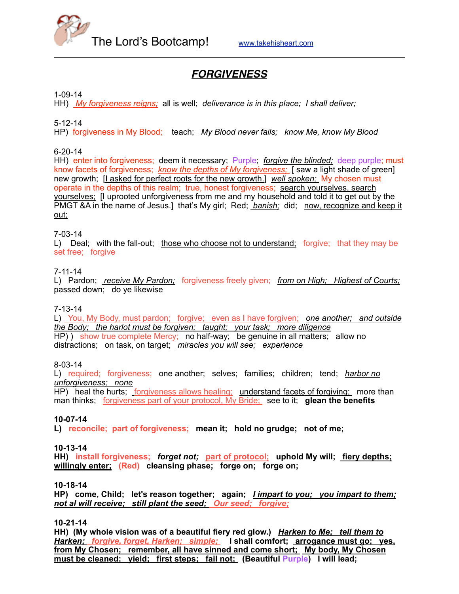

# *FORGIVENESS*

1-09-14

HH) *My forgiveness reigns;* all is well; *deliverance is in this place; I shall deliver;*

5-12-14

HP) forgiveness in My Blood; teach; *My Blood never fails; know Me, know My Blood*

### 6-20-14

HH) enter into forgiveness; deem it necessary; Purple; *forgive the blinded;* deep purple; must know facets of forgiveness; *know the depths of My forgiveness;* [ saw a light shade of green] new growth; [I asked for perfect roots for the new growth.] *well spoken;* My chosen must operate in the depths of this realm; true, honest forgiveness; search yourselves, search yourselves; [I uprooted unforgiveness from me and my household and told it to get out by the PMGT &A in the name of Jesus.] that's My girl; Red; *banish;* did; now, recognize and keep it out;

#### 7-03-14

L) Deal; with the fall-out; those who choose not to understand; forgive; that they may be set free; forgive

#### 7-11-14

L) Pardon; *receive My Pardon;* forgiveness freely given; *from on High; Highest of Courts;* passed down; do ye likewise

#### 7-13-14

L) You, My Body, must pardon; forgive; even as I have forgiven; *one another; and outside the Body; the harlot must be forgiven; taught; your task; more diligence* HP) ) show true complete Mercy; no half-way; be genuine in all matters; allow no distractions; on task, on target; *miracles you will see; experience*

#### 8-03-14

L) required; forgiveness; one another; selves; families; children; tend; *harbor no unforgiveness; none*

HP) heal the hurts; forgiveness allows healing; understand facets of forgiving; more than man thinks; forgiveness part of your protocol, My Bride; see to it; **glean the benefits**

### **10-07-14**

**L) reconcile; part of forgiveness; mean it; hold no grudge; not of me;** 

#### **10-13-14**

**HH) install forgiveness;** *forget not;* **part of protocol; uphold My will; fiery depths; willingly enter; (Red) cleansing phase; forge on; forge on;** 

#### **10-18-14**

**HP) come, Child; let's reason together; again;** *I impart to you; you impart to them; not al will receive; still plant the seed; Our seed; forgive;*

### **10-21-14**

**HH) (My whole vision was of a beautiful fiery red glow.)** *Harken to Me; tell them to Harken; forgive, forget, Harken; simple;* **I shall comfort; arrogance must go; yes,**  from My Chosen; remember, all have sinned and come short; My body, My Chosen **must be cleaned; yield; first steps; fail not; (Beautiful Purple) I will lead;**